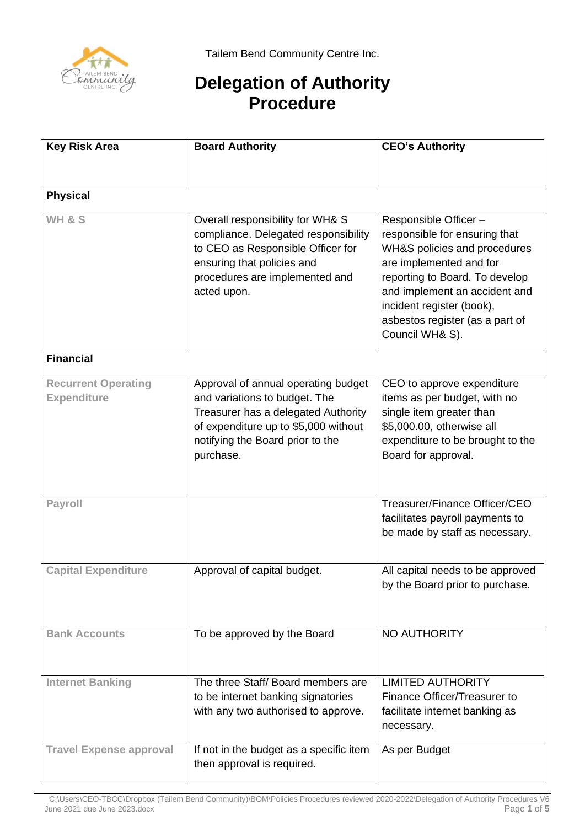

## **Delegation of Authority Procedure**

| <b>Key Risk Area</b>                             | <b>Board Authority</b>                                                                                                                                                                               | <b>CEO's Authority</b>                                                                                                                                                                                                                                                 |  |  |
|--------------------------------------------------|------------------------------------------------------------------------------------------------------------------------------------------------------------------------------------------------------|------------------------------------------------------------------------------------------------------------------------------------------------------------------------------------------------------------------------------------------------------------------------|--|--|
|                                                  |                                                                                                                                                                                                      |                                                                                                                                                                                                                                                                        |  |  |
| <b>Physical</b>                                  |                                                                                                                                                                                                      |                                                                                                                                                                                                                                                                        |  |  |
| <b>WH &amp; S</b>                                | Overall responsibility for WH& S<br>compliance. Delegated responsibility<br>to CEO as Responsible Officer for<br>ensuring that policies and<br>procedures are implemented and<br>acted upon.         | Responsible Officer-<br>responsible for ensuring that<br>WH&S policies and procedures<br>are implemented and for<br>reporting to Board. To develop<br>and implement an accident and<br>incident register (book),<br>asbestos register (as a part of<br>Council WH& S). |  |  |
| <b>Financial</b>                                 |                                                                                                                                                                                                      |                                                                                                                                                                                                                                                                        |  |  |
| <b>Recurrent Operating</b><br><b>Expenditure</b> | Approval of annual operating budget<br>and variations to budget. The<br>Treasurer has a delegated Authority<br>of expenditure up to \$5,000 without<br>notifying the Board prior to the<br>purchase. | CEO to approve expenditure<br>items as per budget, with no<br>single item greater than<br>\$5,000.00, otherwise all<br>expenditure to be brought to the<br>Board for approval.                                                                                         |  |  |
| Payroll                                          |                                                                                                                                                                                                      | Treasurer/Finance Officer/CEO<br>facilitates payroll payments to<br>be made by staff as necessary.                                                                                                                                                                     |  |  |
| <b>Capital Expenditure</b>                       | Approval of capital budget.                                                                                                                                                                          | All capital needs to be approved<br>by the Board prior to purchase.                                                                                                                                                                                                    |  |  |
| <b>Bank Accounts</b>                             | To be approved by the Board                                                                                                                                                                          | NO AUTHORITY                                                                                                                                                                                                                                                           |  |  |
| <b>Internet Banking</b>                          | The three Staff/Board members are<br>to be internet banking signatories<br>with any two authorised to approve.                                                                                       | <b>LIMITED AUTHORITY</b><br>Finance Officer/Treasurer to<br>facilitate internet banking as<br>necessary.                                                                                                                                                               |  |  |
| <b>Travel Expense approval</b>                   | If not in the budget as a specific item<br>then approval is required.                                                                                                                                | As per Budget                                                                                                                                                                                                                                                          |  |  |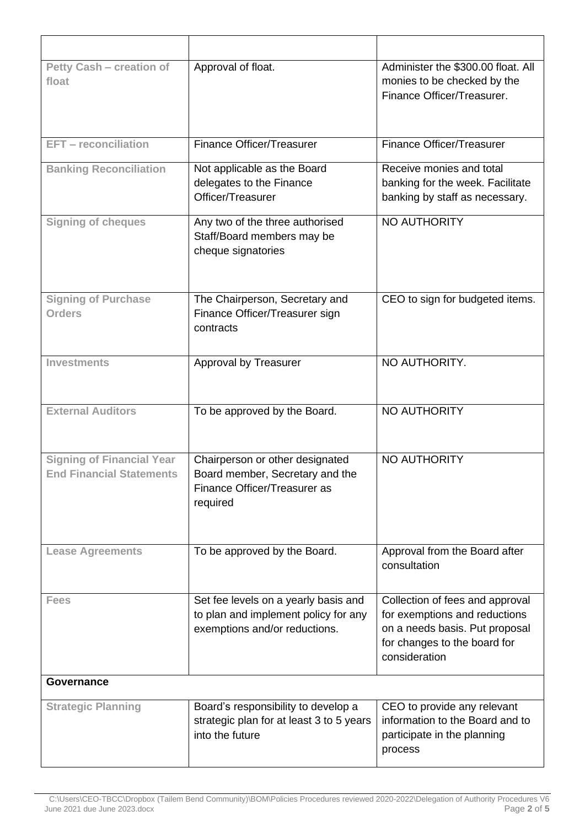| <b>Petty Cash - creation of</b><br>float                            | Approval of float.                                                                                             | Administer the \$300.00 float. All<br>monies to be checked by the<br>Finance Officer/Treasurer.                                                     |  |
|---------------------------------------------------------------------|----------------------------------------------------------------------------------------------------------------|-----------------------------------------------------------------------------------------------------------------------------------------------------|--|
| <b>EFT</b> - reconciliation                                         | Finance Officer/Treasurer                                                                                      | <b>Finance Officer/Treasurer</b>                                                                                                                    |  |
| <b>Banking Reconciliation</b>                                       | Not applicable as the Board<br>delegates to the Finance<br>Officer/Treasurer                                   | Receive monies and total<br>banking for the week. Facilitate<br>banking by staff as necessary.                                                      |  |
| <b>Signing of cheques</b>                                           | Any two of the three authorised<br>Staff/Board members may be<br>cheque signatories                            | NO AUTHORITY                                                                                                                                        |  |
| <b>Signing of Purchase</b><br><b>Orders</b>                         | The Chairperson, Secretary and<br>Finance Officer/Treasurer sign<br>contracts                                  | CEO to sign for budgeted items.                                                                                                                     |  |
| <b>Investments</b>                                                  | Approval by Treasurer                                                                                          | NO AUTHORITY.                                                                                                                                       |  |
| <b>External Auditors</b>                                            | To be approved by the Board.                                                                                   | NO AUTHORITY                                                                                                                                        |  |
| <b>Signing of Financial Year</b><br><b>End Financial Statements</b> | Chairperson or other designated<br>Board member, Secretary and the<br>Finance Officer/Treasurer as<br>required | <b>NO AUTHORITY</b>                                                                                                                                 |  |
| <b>Lease Agreements</b>                                             | To be approved by the Board.                                                                                   | Approval from the Board after<br>consultation                                                                                                       |  |
| <b>Fees</b>                                                         | Set fee levels on a yearly basis and<br>to plan and implement policy for any<br>exemptions and/or reductions.  | Collection of fees and approval<br>for exemptions and reductions<br>on a needs basis. Put proposal<br>for changes to the board for<br>consideration |  |
| Governance                                                          |                                                                                                                |                                                                                                                                                     |  |
| <b>Strategic Planning</b>                                           | Board's responsibility to develop a<br>strategic plan for at least 3 to 5 years<br>into the future             | CEO to provide any relevant<br>information to the Board and to<br>participate in the planning<br>process                                            |  |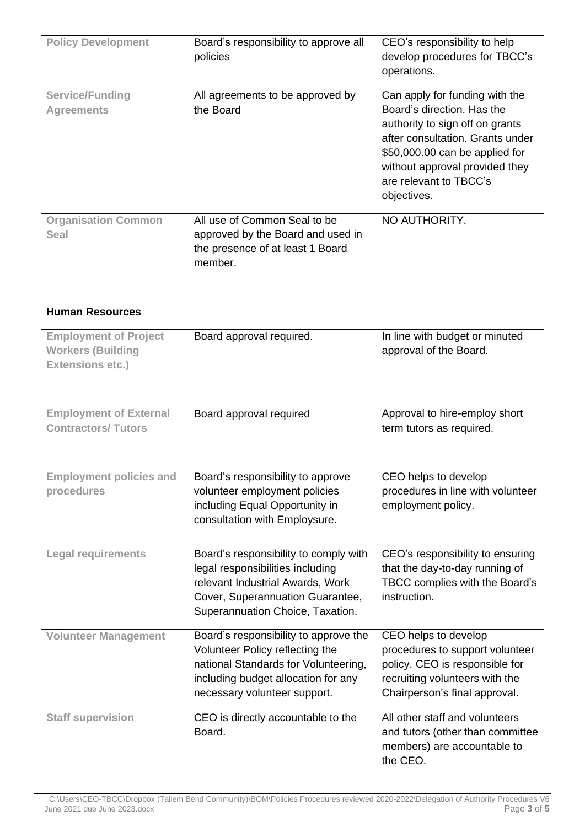| <b>Policy Development</b>                                                           | Board's responsibility to approve all<br>policies                                                                                                                                       | CEO's responsibility to help<br>develop procedures for TBCC's<br>operations.                                                                                                                                                                     |
|-------------------------------------------------------------------------------------|-----------------------------------------------------------------------------------------------------------------------------------------------------------------------------------------|--------------------------------------------------------------------------------------------------------------------------------------------------------------------------------------------------------------------------------------------------|
| <b>Service/Funding</b><br><b>Agreements</b>                                         | All agreements to be approved by<br>the Board                                                                                                                                           | Can apply for funding with the<br>Board's direction. Has the<br>authority to sign off on grants<br>after consultation. Grants under<br>\$50,000.00 can be applied for<br>without approval provided they<br>are relevant to TBCC's<br>objectives. |
| <b>Organisation Common</b><br><b>Seal</b>                                           | All use of Common Seal to be<br>approved by the Board and used in<br>the presence of at least 1 Board<br>member.                                                                        | NO AUTHORITY.                                                                                                                                                                                                                                    |
| <b>Human Resources</b>                                                              |                                                                                                                                                                                         |                                                                                                                                                                                                                                                  |
| <b>Employment of Project</b><br><b>Workers (Building</b><br><b>Extensions etc.)</b> | Board approval required.                                                                                                                                                                | In line with budget or minuted<br>approval of the Board.                                                                                                                                                                                         |
| <b>Employment of External</b><br><b>Contractors/Tutors</b>                          | Board approval required                                                                                                                                                                 | Approval to hire-employ short<br>term tutors as required.                                                                                                                                                                                        |
| <b>Employment policies and</b><br>procedures                                        | Board's responsibility to approve<br>volunteer employment policies<br>including Equal Opportunity in<br>consultation with Employsure.                                                   | CEO helps to develop<br>procedures in line with volunteer<br>employment policy.                                                                                                                                                                  |
| <b>Legal requirements</b>                                                           | Board's responsibility to comply with<br>legal responsibilities including<br>relevant Industrial Awards, Work<br>Cover, Superannuation Guarantee,<br>Superannuation Choice, Taxation.   | CEO's responsibility to ensuring<br>that the day-to-day running of<br>TBCC complies with the Board's<br>instruction.                                                                                                                             |
| <b>Volunteer Management</b>                                                         | Board's responsibility to approve the<br>Volunteer Policy reflecting the<br>national Standards for Volunteering,<br>including budget allocation for any<br>necessary volunteer support. | CEO helps to develop<br>procedures to support volunteer<br>policy. CEO is responsible for<br>recruiting volunteers with the<br>Chairperson's final approval.                                                                                     |
| <b>Staff supervision</b>                                                            | CEO is directly accountable to the<br>Board.                                                                                                                                            | All other staff and volunteers<br>and tutors (other than committee<br>members) are accountable to<br>the CEO.                                                                                                                                    |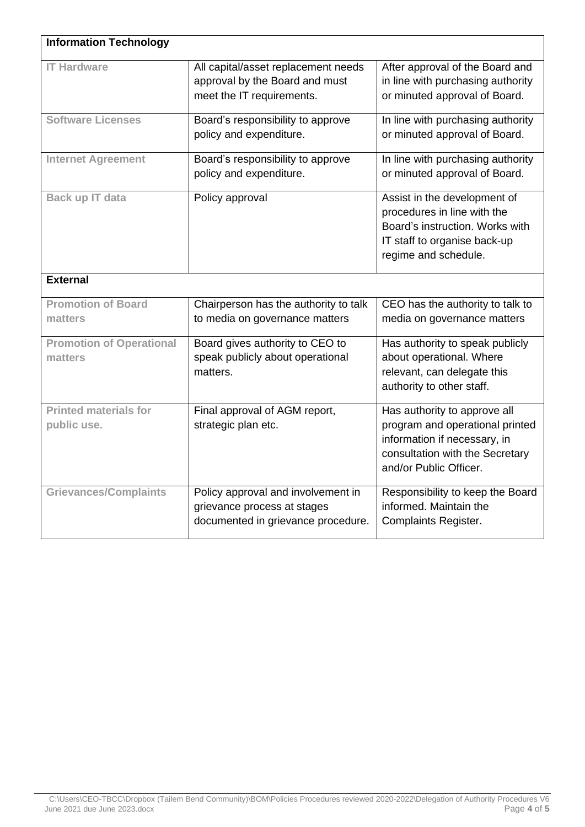| <b>Information Technology</b>               |                                                                                                         |                                                                                                                                                              |
|---------------------------------------------|---------------------------------------------------------------------------------------------------------|--------------------------------------------------------------------------------------------------------------------------------------------------------------|
| <b>IT Hardware</b>                          | All capital/asset replacement needs<br>approval by the Board and must<br>meet the IT requirements.      | After approval of the Board and<br>in line with purchasing authority<br>or minuted approval of Board.                                                        |
| <b>Software Licenses</b>                    | Board's responsibility to approve<br>policy and expenditure.                                            | In line with purchasing authority<br>or minuted approval of Board.                                                                                           |
| <b>Internet Agreement</b>                   | Board's responsibility to approve<br>policy and expenditure.                                            | In line with purchasing authority<br>or minuted approval of Board.                                                                                           |
| Back up IT data                             | Policy approval                                                                                         | Assist in the development of<br>procedures in line with the<br>Board's instruction. Works with<br>IT staff to organise back-up<br>regime and schedule.       |
| <b>External</b>                             |                                                                                                         |                                                                                                                                                              |
| <b>Promotion of Board</b><br>matters        | Chairperson has the authority to talk<br>to media on governance matters                                 | CEO has the authority to talk to<br>media on governance matters                                                                                              |
| <b>Promotion of Operational</b><br>matters  | Board gives authority to CEO to<br>speak publicly about operational<br>matters.                         | Has authority to speak publicly<br>about operational. Where<br>relevant, can delegate this<br>authority to other staff.                                      |
| <b>Printed materials for</b><br>public use. | Final approval of AGM report,<br>strategic plan etc.                                                    | Has authority to approve all<br>program and operational printed<br>information if necessary, in<br>consultation with the Secretary<br>and/or Public Officer. |
| <b>Grievances/Complaints</b>                | Policy approval and involvement in<br>grievance process at stages<br>documented in grievance procedure. | Responsibility to keep the Board<br>informed. Maintain the<br><b>Complaints Register.</b>                                                                    |